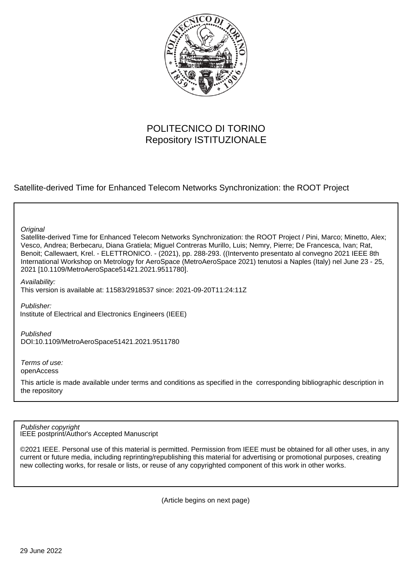

# POLITECNICO DI TORINO Repository ISTITUZIONALE

Satellite-derived Time for Enhanced Telecom Networks Synchronization: the ROOT Project

**Original** 

Satellite-derived Time for Enhanced Telecom Networks Synchronization: the ROOT Project / Pini, Marco; Minetto, Alex; Vesco, Andrea; Berbecaru, Diana Gratiela; Miguel Contreras Murillo, Luis; Nemry, Pierre; De Francesca, Ivan; Rat, Benoit; Callewaert, Krel. - ELETTRONICO. - (2021), pp. 288-293. ((Intervento presentato al convegno 2021 IEEE 8th International Workshop on Metrology for AeroSpace (MetroAeroSpace 2021) tenutosi a Naples (Italy) nel June 23 - 25, 2021 [10.1109/MetroAeroSpace51421.2021.9511780].

Availability:

This version is available at: 11583/2918537 since: 2021-09-20T11:24:11Z

Publisher: Institute of Electrical and Electronics Engineers (IEEE)

Published DOI:10.1109/MetroAeroSpace51421.2021.9511780

Terms of use: openAccess

This article is made available under terms and conditions as specified in the corresponding bibliographic description in the repository

IEEE postprint/Author's Accepted Manuscript Publisher copyright

©2021 IEEE. Personal use of this material is permitted. Permission from IEEE must be obtained for all other uses, in any current or future media, including reprinting/republishing this material for advertising or promotional purposes, creating new collecting works, for resale or lists, or reuse of any copyrighted component of this work in other works.

(Article begins on next page)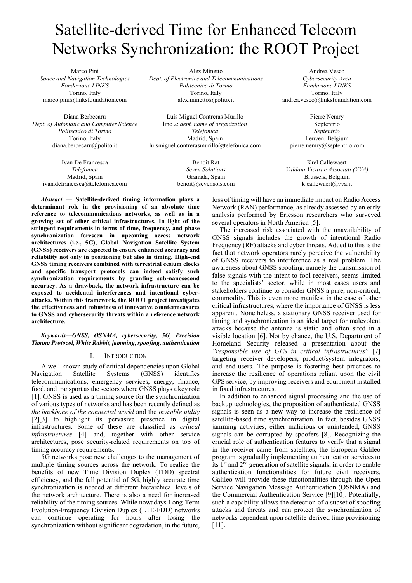# Satellite-derived Time for Enhanced Telecom Networks Synchronization: the ROOT Project

Marco Pini *Space and Navigation Technologies Fondazione LINKS* Torino, Italy marco.pini@linksfoundation.com

Diana Berbecaru *Dept. of Automatic and Computer Science Politecnico di Torino* Torino, Italy diana.berbecaru@polito.it

Alex Minetto *Dept. of Electronics and Telecommunications Politecnico di Torino* Torino, Italy alex.minetto@polito.it

Luis Miguel Contreras Murillo line 2: *dept. name of organization Telefonica* Madrid, Spain luismiguel.contrerasmurillo@telefonica.com

Ivan De Francesca *Telefonica* Madrid, Spain ivan.defrancesca@telefonica.com

Benoit Rat *Seven Solutions* Granada, Spain benoit@sevensols.com

Andrea Vesco *Cybersecurity Area Fondazione LINKS* Torino, Italy andrea.vesco@linksfoundation.com

Pierre Nemry Septentrio *Septentrio* Leuven, Belgium pierre.nemry@septentrio.com

Krel Callewaert *Valdani Vicari e Associati (VVA)* Brussels, Belgium k.callewaert@vva.it

*Abstract* **— Satellite-derived timing information plays a determinant role in the provisioning of an absolute time reference to telecommunications networks, as well as in a growing set of other critical infrastructures. In light of the stringent requirements in terms of time, frequency, and phase synchronization foreseen in upcoming access network architectures (i.e., 5G), Global Navigation Satellite System (GNSS) receivers are expected to ensure enhanced accuracy and reliability not only in positioning but also in timing. High-end GNSS timing receivers combined with terrestrial cesium clocks and specific transport protocols can indeed satisfy such synchronization requirements by granting sub-nanosecond accuracy. As a drawback, the network infrastructure can be exposed to accidental interferences and intentional cyberattacks. Within this framework, the ROOT project investigates the effectiveness and robustness of innovative countermeasures to GNSS and cybersecurity threats within a reference network architecture.**

# *Keywords—GNSS, OSNMA, cybersecurity, 5G, Precision Timing Protocol, White Rabbit, jamming, spoofing, authentication*

# I. INTRODUCTION

A well-known study of critical dependencies upon Global Navigation Satellite Systems (GNSS) identifies telecommunications, emergency services, energy, finance, food, and transport as the sectors where GNSS plays a key role [1]. GNSS is used as a timing source for the synchronization of various types of networks and has been recently defined as *the backbone of the connected world* and the *invisible utility* [2][3] to highlight its pervasive presence in digital infrastructures. Some of these are classified as *critical infrastructures* [4] and, together with other service architectures, pose security-related requirements on top of timing accuracy requirements.

5G networks pose new challenges to the management of multiple timing sources across the network. To realize the benefits of new Time Division Duplex (TDD) spectral efficiency, and the full potential of 5G, highly accurate time synchronization is needed at different hierarchical levels of the network architecture. There is also a need for increased reliability of the timing sources. While nowadays Long-Term Evolution-Frequency Division Duplex (LTE-FDD) networks can continue operating for hours after losing the synchronization without significant degradation, in the future,

loss of timing will have an immediate impact on Radio Access Network (RAN) performance, as already assessed by an early analysis performed by Ericsson researchers who surveyed several operators in North America [5].

The increased risk associated with the unavailability of GNSS signals includes the growth of intentional Radio Frequency (RF) attacks and cyber threats. Added to this is the fact that network operators rarely perceive the vulnerability of GNSS receivers to interference as a real problem. The awareness about GNSS spoofing, namely the transmission of false signals with the intent to fool receivers, seems limited to the specialists' sector, while in most cases users and stakeholders continue to consider GNSS a pure, non-critical, commodity. This is even more manifest in the case of other critical infrastructures, where the importance of GNSS is less apparent. Nonetheless, a stationary GNSS receiver used for timing and synchronization is an ideal target for malevolent attacks because the antenna is static and often sited in a visible location [6]. Not by chance, the U.S. Department of Homeland Security released a presentation about the *"responsible use of GPS in critical infrastructures*" [7] targeting receiver developers, product/system integrators, and end-users. The purpose is fostering best practices to increase the resilience of operations reliant upon the civil GPS service, by improving receivers and equipment installed in fixed infrastructures.

In addition to enhanced signal processing and the use of backup technologies, the proposition of authenticated GNSS signals is seen as a new way to increase the resilience of satellite-based time synchronization. In fact, besides GNSS jamming activities, either malicious or unintended, GNSS signals can be corrupted by spoofers [8]. Recognizing the crucial role of authentication features to verify that a signal in the receiver came from satellites, the European Galileo program is gradually implementing authentication services to its 1<sup>st</sup> and 2<sup>nd</sup> generation of satellite signals, in order to enable authentication functionalities for future civil receivers. Galileo will provide these functionalities through the Open Service Navigation Message Authentication (OSNMA) and the Commercial Authentication Service [9][10]. Potentially, such a capability allows the detection of a subset of spoofing attacks and threats and can protect the synchronization of networks dependent upon satellite-derived time provisioning [11].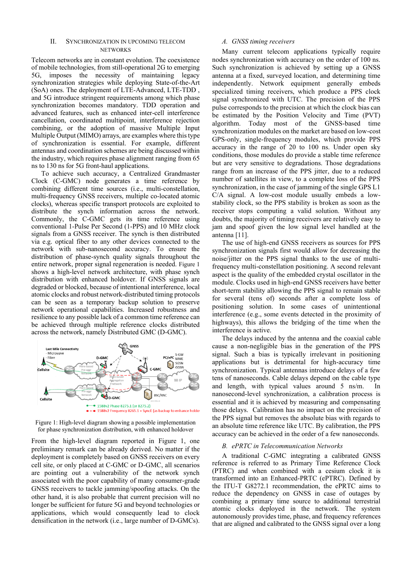# II. SYNCHRONIZATION IN UPCOMING TELECOM **NETWORKS**

Telecom networks are in constant evolution. The coexistence of mobile technologies, from still-operational 2G to emerging 5G, imposes the necessity of maintaining legacy synchronization strategies while deploying State-of-the-Art (SoA) ones. The deployment of LTE-Advanced, LTE-TDD , and 5G introduce stringent requirements among which phase synchronization becomes mandatory. TDD operation and advanced features, such as enhanced inter-cell interference cancellation, coordinated multipoint, interference rejection combining, or the adoption of massive Multiple Input Multiple Output (MIMO) arrays, are examples where this type of synchronization is essential. For example, different antennas and coordination schemes are being discussed within the industry, which requires phase alignment ranging from 65 ns to 130 ns for 5G front-haul applications.

To achieve such accuracy, a Centralized Grandmaster Clock (C-GMC) node generates a time reference by combining different time sources (i.e., multi-constellation, multi-frequency GNSS receivers, multiple co-located atomic clocks), whereas specific transport protocols are exploited to distribute the synch information across the network. Commonly, the C-GMC gets its time reference using conventional 1-Pulse Per Second (1-PPS) and 10 MHz clock signals from a GNSS receiver. The synch is then distributed via e.g. optical fiber to any other devices connected to the network with sub-nanosecond accuracy. To ensure the distribution of phase-synch quality signals throughout the entire network, proper signal regeneration is needed. Figure 1 shows a high-level network architecture, with phase synch distribution with enhanced holdover. If GNSS signals are degraded or blocked, because of intentional interference, local atomic clocks and robust network-distributed timing protocols can be seen as a temporary backup solution to preserve network operational capabilities. Increased robustness and resilience to any possible lack of a common time reference can be achieved through multiple reference clocks distributed across the network, namely Distributed GMC (D-GMC).



Figure 1: High-level diagram showing a possible implementation for phase synchronization distribution, with enhanced holdover

From the high-level diagram reported in Figure 1, one preliminary remark can be already derived. No matter if the deployment is completely based on GNSS receivers on every cell site, or only placed at C-GMC or D-GMC, all scenarios are pointing out a vulnerability of the network synch associated with the poor capability of many consumer-grade GNSS receivers to tackle jamming/spoofing attacks. On the other hand, it is also probable that current precision will no longer be sufficient for future 5G and beyond technologies or applications, which would consequently lead to clock densification in the network (i.e., large number of D-GMCs).

## *A. GNSS timing receivers*

Many current telecom applications typically require nodes synchronization with accuracy on the order of 100 ns. Such synchronization is achieved by setting up a GNSS antenna at a fixed, surveyed location, and determining time independently. Network equipment generally embeds specialized timing receivers, which produce a PPS clock signal synchronized with UTC. The precision of the PPS pulse corresponds to the precision at which the clock bias can be estimated by the Position Velocity and Time (PVT) algorithm. Today most of the GNSS-based time synchronization modules on the market are based on low-cost GPS-only, single-frequency modules, which provide PPS accuracy in the range of 20 to 100 ns. Under open sky conditions, those modules do provide a stable time reference but are very sensitive to degradations. Those degradations range from an increase of the PPS jitter, due to a reduced number of satellites in view, to a complete loss of the PPS synchronization, in the case of jamming of the single GPS L1 C/A signal. A low-cost module usually embeds a lowstability clock, so the PPS stability is broken as soon as the receiver stops computing a valid solution. Without any doubts, the majority of timing receivers are relatively easy to jam and spoof given the low signal level handled at the antenna [11].

The use of high-end GNSS receivers as sources for PPS synchronization signals first would allow for decreasing the noise/jitter on the PPS signal thanks to the use of multifrequency multi-constellation positioning. A second relevant aspect is the quality of the embedded crystal oscillator in the module. Clocks used in high-end GNSS receivers have better short-term stability allowing the PPS signal to remain stable for several (tens of) seconds after a complete loss of positioning solution. In some cases of unintentional interference (e.g., some events detected in the proximity of highways), this allows the bridging of the time when the interference is active.

The delays induced by the antenna and the coaxial cable cause a non-negligible bias in the generation of the PPS signal. Such a bias is typically irrelevant in positioning applications but is detrimental for high-accuracy time synchronization. Typical antennas introduce delays of a few tens of nanoseconds. Cable delays depend on the cable type and length, with typical values around 5 ns/m. In nanosecond-level synchronization, a calibration process is essential and it is achieved by measuring and compensating those delays. Calibration has no impact on the precision of the PPS signal but removes the absolute bias with regards to an absolute time reference like UTC. By calibration, the PPS accuracy can be achieved in the order of a few nanoseconds.

#### *B. ePRTC in Telecommunication Networks*

A traditional C-GMC integrating a calibrated GNSS reference is referred to as Primary Time Reference Clock (PTRC) and when combined with a cesium clock it is transformed into an Enhanced-PRTC (ePTRC). Defined by the ITU-T G8272.1 recommendation, the ePRTC aims to reduce the dependency on GNSS in case of outages by combining a primary time source to additional terrestrial atomic clocks deployed in the network. The system autonomously provides time, phase, and frequency references that are aligned and calibrated to the GNSS signal over a long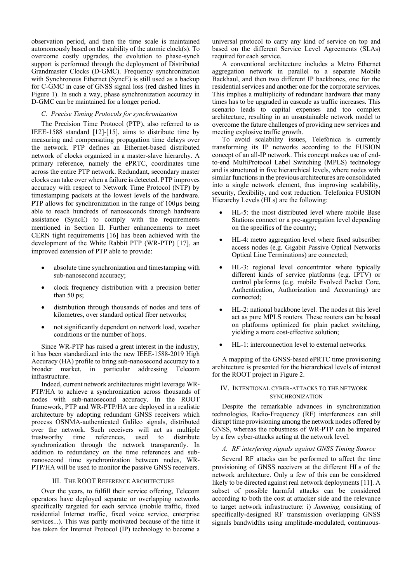observation period, and then the time scale is maintained autonomously based on the stability of the atomic clock(s). To overcome costly upgrades, the evolution to phase-synch support is performed through the deployment of Distributed Grandmaster Clocks (D-GMC). Frequency synchronization with Synchronous Ethernet (SyncE) is still used as a backup for C-GMC in case of GNSS signal loss (red dashed lines in Figure 1). In such a way, phase synchronization accuracy in D-GMC can be maintained for a longer period.

# *C. Precise Timing Protocols for synchronization*

The Precision Time Protocol (PTP), also referred to as IEEE-1588 standard [12]-[15], aims to distribute time by measuring and compensating propagation time delays over the network. PTP defines an Ethernet-based distributed network of clocks organized in a master-slave hierarchy. A primary reference, namely the ePRTC, coordinates time across the entire PTP network. Redundant, secondary master clocks can take over when a failure is detected. PTP improves accuracy with respect to Network Time Protocol (NTP) by timestamping packets at the lowest levels of the hardware. PTP allows for synchronization in the range of 100 $\mu$ s being able to reach hundreds of nanoseconds through hardware assistance (SyncE) to comply with the requirements mentioned in Section II. Further enhancements to meet CERN tight requirements [16] has been achieved with the development of the White Rabbit PTP (WR-PTP) [17], an improved extension of PTP able to provide:

- absolute time synchronization and timestamping with sub-nanosecond accuracy;
- clock frequency distribution with a precision better than 50 ps;
- distribution through thousands of nodes and tens of kilometres, over standard optical fiber networks;
- not significantly dependent on network load, weather conditions or the number of hops.

Since WR-PTP has raised a great interest in the industry, it has been standardized into the new IEEE-1588-2019 High Accuracy (HA) profile to bring sub-nanosecond accuracy to a broader market, in particular addressing Telecom infrastructure.

Indeed, current network architectures might leverage WR-PTP/HA to achieve a synchronization across thousands of nodes with sub-nanosecond accuracy. In the ROOT framework, PTP and WR-PTP/HA are deployed in a realistic architecture by adopting redundant GNSS receivers which process OSNMA-authenticated Galileo signals, distributed over the network. Such receivers will act as multiple trustworthy time references, used to distribute synchronization through the network transparently. In addition to redundancy on the time references and subnanosecond time synchronization between nodes, WR-PTP/HA will be used to monitor the passive GNSS receivers.

# III. THE ROOT REFERENCE ARCHITECTURE

Over the years, to fulfill their service offering, Telecom operators have deployed separate or overlapping networks specifically targeted for each service (mobile traffic, fixed residential Internet traffic, fixed voice service, enterprise services...). This was partly motivated because of the time it has taken for Internet Protocol (IP) technology to become a universal protocol to carry any kind of service on top and based on the different Service Level Agreements (SLAs) required for each service.

A conventional architecture includes a Metro Ethernet aggregation network in parallel to a separate Mobile Backhaul, and then two different IP backbones, one for the residential services and another one for the corporate services. This implies a multiplicity of redundant hardware that many times has to be upgraded in cascade as traffic increases. This scenario leads to capital expenses and too complex architecture, resulting in an unsustainable network model to overcome the future challenges of providing new services and meeting explosive traffic growth.

To avoid scalability issues, Telefónica is currently transforming its IP networks according to the FUSION concept of an all-IP network. This concept makes use of endto-end MultiProtocol Label Switching (MPLS) technology and is structured in five hierarchical levels, where nodes with similar functions in the previous architectures are consolidated into a single network element, thus improving scalability, security, flexibility, and cost reduction. Telefonica FUSION Hierarchy Levels (HLs) are the following:

- HL-5: the most distributed level where mobile Base Stations connect or a pre-aggregation level depending on the specifics of the country;
- HL-4: metro aggregation level where fixed subscriber access nodes (e.g. Gigabit Passive Optical Networks Optical Line Terminations) are connected;
- HL-3: regional level concentrator where typically different kinds of service platforms (e.g. IPTV) or control platforms (e.g. mobile Evolved Packet Core, Authentication, Authorization and Accounting) are connected;
- HL-2: national backbone level. The nodes at this level act as pure MPLS routers. These routers can be based on platforms optimized for plain packet switching, yielding a more cost-effective solution;
- HL-1: interconnection level to external networks.

A mapping of the GNSS-based ePRTC time provisioning architecture is presented for the hierarchical levels of interest for the ROOT project in Figure 2.

## IV. INTENTIONAL CYBER-ATTACKS TO THE NETWORK **SYNCHRONIZATION**

Despite the remarkable advances in synchronization technologies, Radio-Frequency (RF) interferences can still disrupt time provisioning among the network nodes offered by GNSS, whereas the robustness of WR-PTP can be impaired by a few cyber-attacks acting at the network level.

#### *A. RF interfering signals against GNSS Timing Source*

Several RF attacks can be performed to affect the time provisioning of GNSS receivers at the different HLs of the network architecture. Only a few of this can be considered likely to be directed against real network deployments [11]. A subset of possible harmful attacks can be considered according to both the cost at attacker side and the relevance to target network infrastructure: i) *Jamming,* consisting of specifically-designed RF transmission overlapping GNSS signals bandwidths using amplitude-modulated, continuous-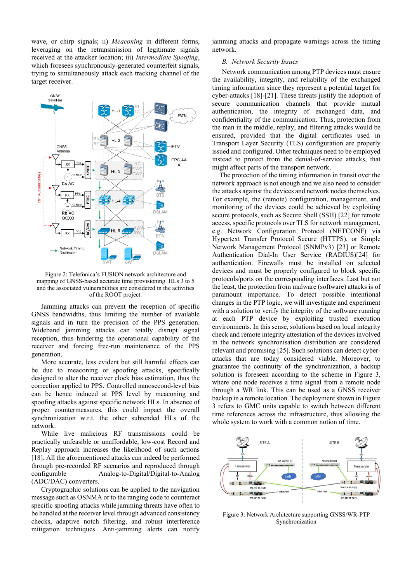wave, or chirp signals; ii) *Meaconing* in different forms, leveraging on the retransmission of legitimate signals received at the attacker location; iii) *Intermediate Spoofing*, which foresees synchronously-generated counterfeit signals, trying to simultaneously attack each tracking channel of the target receiver.



Figure 2: Telefonica's FUSION network architecture and mapping of GNSS-based accurate time provisioning. HLs 3 to 5 and the associated vulnerabilities are considered in the activities of the ROOT project.

Jamming attacks can prevent the reception of specific GNSS bandwidths, thus limiting the number of available signals and in turn the precision of the PPS generation. Wideband jamming attacks can totally disrupt signal reception, thus hindering the operational capability of the receiver and forcing free-run maintenance of the PPS generation.

More accurate, less evident but still harmful effects can be due to meaconing or spoofing attacks, specifically designed to alter the receiver clock bias estimation, thus the correction applied to PPS. Controlled nanosecond-level bias can be hence induced at PPS level by meaconing and spoofing attacks against specific network HLs. In absence of proper countermeasures, this could impact the overall synchronization w.r.t. the other subtended HLs of the network.

While live malicious RF transmissions could be practically unfeasible or unaffordable, low-cost Record and Replay approach increases the likelihood of such actions [18]. All the aforementioned attacks can indeed be performed through pre-recorded RF scenarios and reproduced through configurable Analog-to-Digital/Digital-to-Analog (ADC/DAC) converters.

Cryptographic solutions can be applied to the navigation message such as OSNMA or to the ranging code to counteract specific spoofing attacks while jamming threats have often to be handled at the receiver level through advanced consistency checks, adaptive notch filtering, and robust interference mitigation techniques. Anti-jamming alerts can notify

jamming attacks and propagate warnings across the timing network.

## *B. Network Security Issues*

Network communication among PTP devices must ensure the availability, integrity, and reliability of the exchanged timing information since they represent a potential target for cyber-attacks [18]-[21]. These threats justify the adoption of secure communication channels that provide mutual authentication, the integrity of exchanged data, and confidentiality of the communication. Thus, protection from the man in the middle, replay, and filtering attacks would be ensured, provided that the digital certificates used in Transport Layer Security (TLS) configuration are properly issued and configured. Other techniques need to be employed instead to protect from the denial-of-service attacks, that might affect parts of the transport network.

The protection of the timing information in transit over the network approach is not enough and we also need to consider the attacks against the devices and network nodes themselves. For example, the (remote) configuration, management, and monitoring of the devices could be achieved by exploiting secure protocols, such as Secure Shell (SSH) [22] for remote access, specific protocols over TLS for network management, e.g. Network Configuration Protocol (NETCONF) via Hypertext Transfer Protocol Secure (HTTPS), or Simple Network Management Protocol (SNMPv3) [23] or Remote Authentication Dial-In User Service (RADIUS)[24] for authentication. Firewalls must be installed on selected devices and must be properly configured to block specific protocols/ports on the corresponding interfaces. Last but not the least, the protection from malware (software) attacks is of paramount importance. To detect possible intentional changes in the PTP logic, we will investigate and experiment with a solution to verify the integrity of the software running at each PTP device by exploiting trusted execution environments. In this sense, solutions based on local integrity check and remote integrity attestation of the devices involved in the network synchronisation distribution are considered relevant and promising [25]. Such solutions can detect cyberattacks that are today considered viable. Moreover, to guarantee the continuity of the synchronization, a backup solution is foreseen according to the scheme in Figure 3, where one node receives a time signal from a remote node through a WR link. This can be used as a GNSS receiver backup in a remote location. The deployment shown in Figure 3 refers to GMC units capable to switch between different time references across the infrastructure, thus allowing the whole system to work with a common notion of time.



Figure 3: Network Architecture supporting GNSS/WR-PTP Synchronization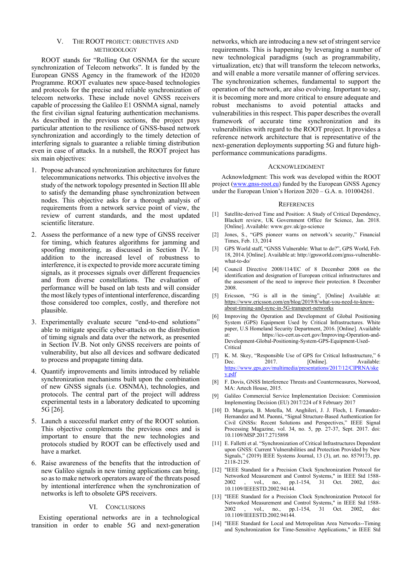# V. THE ROOT PROJECT: OBJECTIVES AND **METHODOLOGY**

ROOT stands for "Rolling Out OSNMA for the secure synchronization of Telecom networks". It is funded by the European GNSS Agency in the framework of the H2020 Programme. ROOT evaluates new space-based technologies and protocols for the precise and reliable synchronization of telecom networks. These include novel GNSS receivers capable of processing the Galileo E1 OSNMA signal, namely the first civilian signal featuring authentication mechanisms. As described in the previous sections, the project pays particular attention to the resilience of GNSS-based network synchronization and accordingly to the timely detection of interfering signals to guarantee a reliable timing distribution even in case of attacks. In a nutshell, the ROOT project has six main objectives:

- 1. Propose advanced synchronization architectures for future telecommunications networks. This objective involves the study of the network topology presented in Section III able to satisfy the demanding phase synchronization between nodes. This objective asks for a thorough analysis of requirements from a network service point of view, the review of current standards, and the most updated scientific literature.
- 2. Assess the performance of a new type of GNSS receiver for timing, which features algorithms for jamming and spoofing monitoring, as discussed in Section IV. In addition to the increased level of robustness to interference, it is expected to provide more accurate timing signals, as it processes signals over different frequencies and from diverse constellations. The evaluation of performance will be based on lab tests and will consider the most likely types of intentional interference, discarding those considered too complex, costly, and therefore not plausible.
- 3. Experimentally evaluate secure "end-to-end solutions" able to mitigate specific cyber-attacks on the distribution of timing signals and data over the network, as presented in Section IV.B. Not only GNSS receivers are points of vulnerability, but also all devices and software dedicated to process and propagate timing data.
- 4. Quantify improvements and limits introduced by reliable synchronization mechanisms built upon the combination of new GNSS signals (i.e. OSNMA), technologies, and protocols. The central part of the project will address experimental tests in a laboratory dedicated to upcoming 5G [26].
- 5. Launch a successful market entry of the ROOT solution. This objective complements the previous ones and is important to ensure that the new technologies and protocols studied by ROOT can be effectively used and have a market.
- 6. Raise awareness of the benefits that the introduction of new Galileo signals in new timing applications can bring, so as to make network operators aware of the threats posed by intentional interference when the synchronization of networks is left to obsolete GPS receivers.

### VI. CONCLUSIONS

Existing operational networks are in a technological transition in order to enable 5G and next-generation networks, which are introducing a new set of stringent service requirements. This is happening by leveraging a number of new technological paradigms (such as programmability, virtualization, etc) that will transform the telecom networks, and will enable a more versatile manner of offering services. The synchronization schemes, fundamental to support the operation of the network, are also evolving. Important to say, it is becoming more and more critical to ensure adequate and robust mechanisms to avoid potential attacks and vulnerabilities in this respect. This paper describes the overall framework of accurate time synchronization and its vulnerabilities with regard to the ROOT project. It provides a reference network architecture that is representative of the next-generation deployments supporting 5G and future highperformance communications paradigms.

#### ACKNOWLEDGMENT

Acknowledgment: This work was developed within the ROOT project (www.gnss-root.eu) funded by the European GNSS Agency under the European Union's Horizon 2020 – G.A. n. 101004261.

#### **REFERENCES**

- [1] Satellite-derived Time and Position: A Study of Critical Dependency, Blackett review, UK Government Office for Science, Jan. 2018. [Online]. Available: www.gov.uk/go-science
- [2] Jones, S., "GPS pioneer warns on network's security," Financial Times, Feb. 13, 2014
- [3] GPS World staff, "GNSS Vulnerable: What to do?", GPS World, Feb. 18, 2014. [Online]. Available at: http://gpsworld.com/gnss-vulnerablewhat-to-do/
- Council Directive 2008/114/EC of 8 December 2008 on the identification and designation of European critical infrastructures and the assessment of the need to improve their protection. 8 December 2008.
- [5] Ericsson, "5G is all in the timing", [Online] Available at: https://www.ericsson.com/en/blog/2019/8/what-you-need-to-knowabout-timing-and-sync-in-5G-transport-networks
- Improving the Operation and Development of Global Positioning System (GPS) Equipment Used by Critical Infrastructures. White paper, U.S Homeland Security Department, 2016. [Online]. Available at: https://ics-cert.us-cert.gov/Improving-Operation-and-Development-Global-Positioning-System-GPS-Equipment-Used-Critical
- [7] K. M. Skey, "Responsible Use of GPS for Critical Infrastructure," 6<br>Dec. 2017. [Online]. Available: Available: https://www.gps.gov/multimedia/presentations/2017/12/CIPRNA/ske y.pdf
- [8] F. Dovis, GNSS Interference Threats and Countermeasures, Norwood, MA: Artech House, 2015.
- [9] Galileo Commercial Service Implementation Decision: Commission Implementing Decision (EU) 2017/224 of 8 February 2017
- [10] D. Margaria, B. Motella, M. Anghileri, J. J. Floch, I. Fernandez-Hernandez and M. Paonni, "Signal Structure-Based Authentication for Civil GNSSs: Recent Solutions and Perspectives," IEEE Signal Processing Magazine, vol. 34, no. 5, pp. 27-37, Sept. 2017. doi: 10.1109/MSP.2017.2715898
- [11] E. Falletti et al. "Synchronization of Critical Infrastructures Dependent upon GNSS: Current Vulnerabilities and Protection Provided by New Signals," (2019) IEEE Systems Journal, 13 (3), art. no. 8579173, pp. 2118-2129.
- [12] "IEEE Standard for a Precision Clock Synchronization Protocol for Networked Measurement and Control Systems," in IEEE Std 1588-<br>2002 . vol. no. pp.1-154, 31 Oct. 2002. doi: 2002 , vol., no., pp.1-154, 31 Oct. 2002, doi: 10.1109/IEEESTD.2002.94144.
- [13] "IEEE Standard for a Precision Clock Synchronization Protocol for Networked Measurement and Control Systems," in IEEE Std 1588- 2002 , vol., no., pp.1-154, 31 Oct. 2002, doi: 10.1109/IEEESTD.2002.94144.
- [14] "IEEE Standard for Local and Metropolitan Area Networks--Timing and Synchronization for Time-Sensitive Applications," in IEEE Std